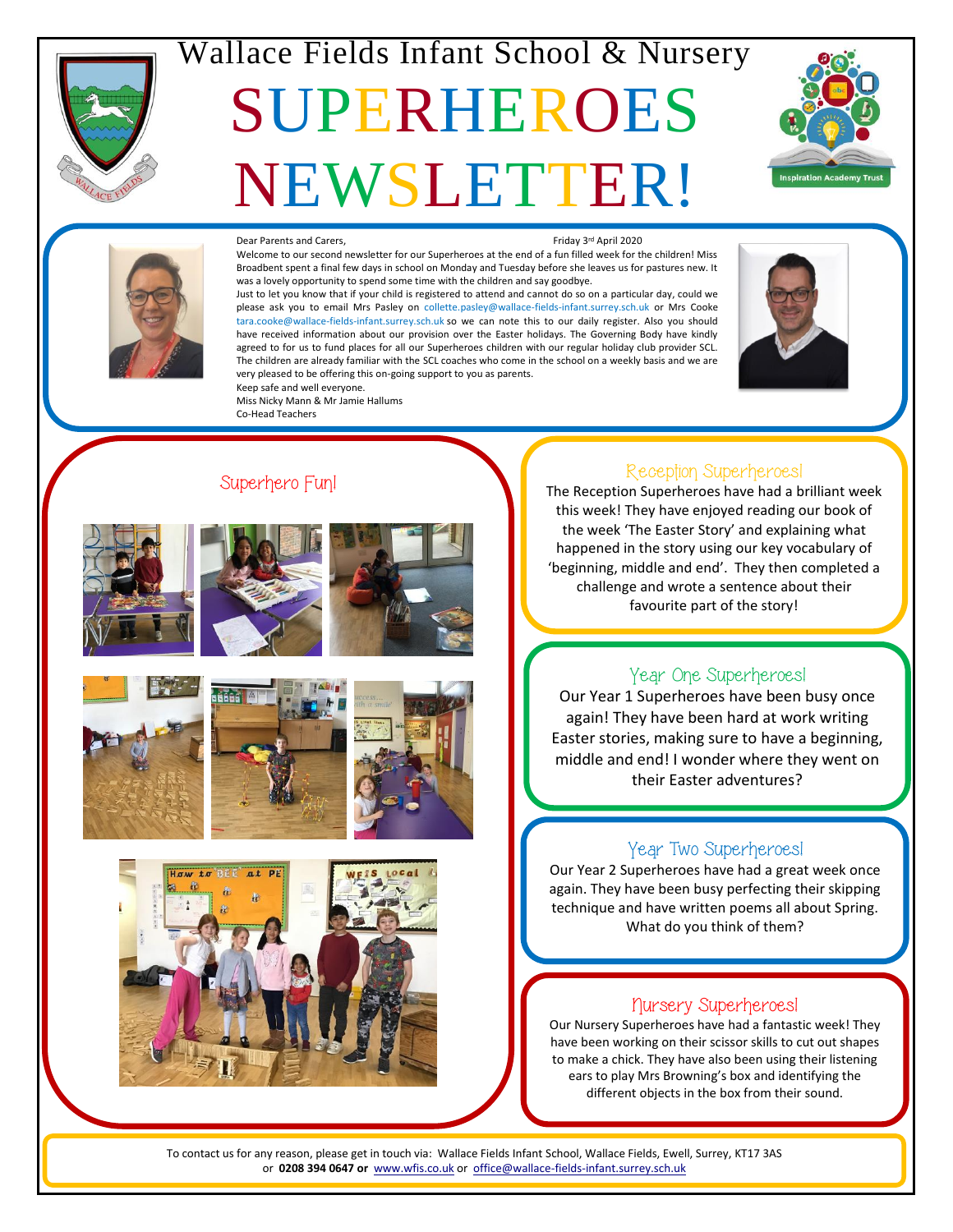

## Wallace Fields Infant School & Nursery

# SUPERHEROES NEWSLETTER!





#### Dear Parents and Carers.

Friday 3rd April 2020

Welcome to our second newsletter for our Superheroes at the end of a fun filled week for the children! Miss Broadbent spent a final few days in school on Monday and Tuesday before she leaves us for pastures new. It was a lovely opportunity to spend some time with the children and say goodbye.

Just to let you know that if your child is registered to attend and cannot do so on a particular day, could we please ask you to email Mrs Pasley on [collette.pasley@wallace-fields-infant.surrey.sch.uk](mailto:collette.pasley@wallace-fields-infant.surrey.sch.uk) or Mrs Cooke [tara.cooke@wallace-fields-infant.surrey.sch.uk](mailto:tara.cooke@wallace-fields-infant.surrey.sch.uk) so we can note this to our daily register. Also you should have received information about our provision over the Easter holidays. The Governing Body have kindly agreed to for us to fund places for all our Superheroes children with our regular holiday club provider SCL. The children are already familiar with the SCL coaches who come in the school on a weekly basis and we are very pleased to be offering this on-going support to you as parents. Keep safe and well everyone.



### Co-Head Teachers

Miss Nicky Mann & Mr Jamie Hallums





Superhero Fun!











#### Reception Superheroes!

The Reception Superheroes have had a brilliant week this week! They have enjoyed reading our book of the week 'The Easter Story' and explaining what happened in the story using our key vocabulary of 'beginning, middle and end'. They then completed a challenge and wrote a sentence about their favourite part of the story!

### Year One Superheroes!

Our Year 1 Superheroes have been busy once again! They have been hard at work writing Easter stories, making sure to have a beginning, middle and end! I wonder where they went on their Easter adventures?

#### Year Two Superheroes!

Our Year 2 Superheroes have had a great week once again. They have been busy perfecting their skipping technique and have written poems all about Spring. What do you think of them?

#### Nursery Superheroes!

Our Nursery Superheroes have had a fantastic week! They have been working on their scissor skills to cut out shapes to make a chick. They have also been using their listening ears to play Mrs Browning's box and identifying the different objects in the box from their sound.

**PTA**

**Oct 30 Nov 4 Dec 1** or **0208 394 0647 or** [www.wfis.co.uk](http://www.wfis.co.uk/) or [office@wallace-fields-infant.surrey.sch.uk](mailto:office@wallace-fields-infant.surrey.sch.uk) To contact us for any reason, please get in touch via: Wallace Fields Infant School, Wallace Fields, Ewell, Surrey, KT17 3AS

**Teacher Day**

**Fall Festival**